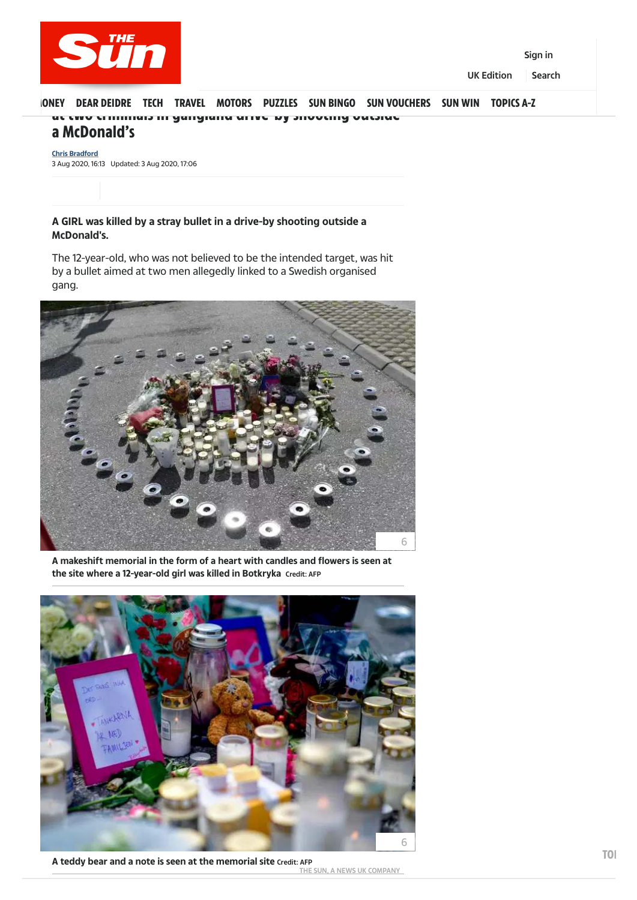## ONEY DEAR DEIDRE TECH TRAVEL MOTORS PUZZLES SUN BIN[G](https://www.thesun.co.uk/)O [SUN VOUCHERS](https://www.thesun.co.uk/vouchercodes/) [SUN WIN](https://www.thesun.co.uk/competitions/) [TOPICS A-Z](https://www.thesun.co.uk/index/) at two criminals in gangland drive-by shooting outside a McDonald's

**A GIRL was killed by a stray bullet in a drive-by shooting outside a McDonald's.**

The 12-year-old, who was not believed to be the intended target, was hit by a bullet aimed at two men allegedly linked to a Swedish organised gang.

3 Aug 2020, 16:13 Updated: 3 Aug 2020, 17:06 **[Chris Bradford](https://www.thesun.co.uk/author/christopher-bradford/)**

**A makeshift memorial in the form of a heart with candles and flowers is seen at the site where a 12-year-old girl was killed in Botkryka** Credit: AFP





**A teddy bear and a note is seen at the memorial site** Credit: AFP THE SUN, A NEWS UK COMPANY **TOI** 



[Sign in](https://login.thesun.co.uk/)

UK Edition Search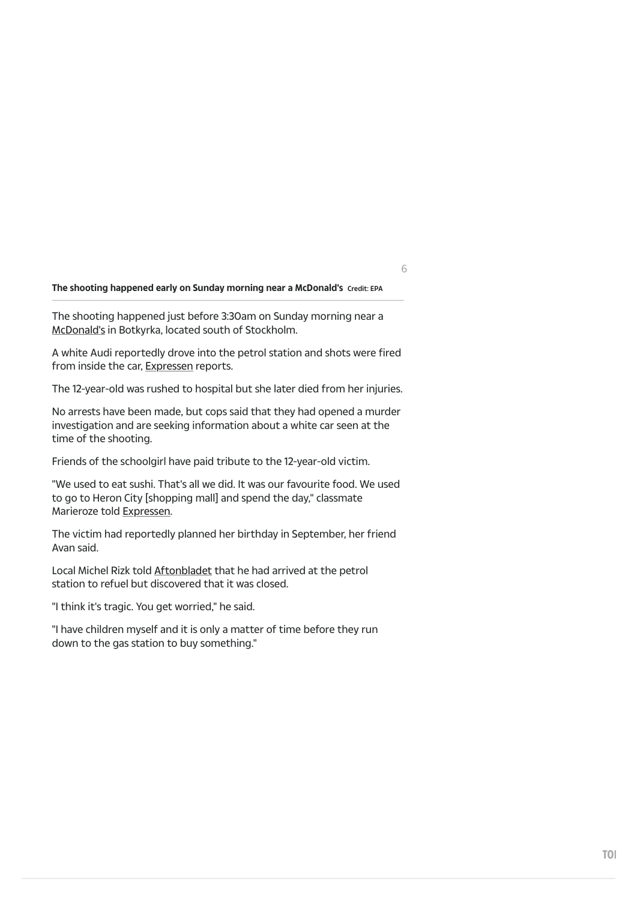## **The shooting happened early on Sunday morning near a McDonald's** Credit: EPA

The shooting happened just before 3:30am on Sunday morning near a [McDonald's](https://www.thesun.co.uk/topic/mcdonalds/) in Botkyrka, located south of Stockholm.

A white Audi reportedly drove into the petrol station and shots were fired from inside the car, [Expressen](https://www.expressen.se/nyheter/ung-kvinna-skadad-efter-skottlossning1/) reports.

The 12-year-old was rushed to hospital but she later died from her injuries.

No arrests have been made, but cops said that they had opened a murder investigation and are seeking information about a white car seen at the time of the shooting.

Friends of the schoolgirl have paid tribute to the 12-year-old victim.

"We used to eat sushi. That's all we did. It was our favourite food. We used to go to Heron City [shopping mall] and spend the day," classmate Marieroze told [Expressen.](https://www.expressen.se/nyheter/mordade-12-aringens-vanner-kanns-som-att-det-inte-ar-akta/)

The victim had reportedly planned her birthday in September, her friend Avan said.

Local Michel Rizk told [Aftonbladet](https://www.aftonbladet.se/nyheter/a/8mr1jx/12-arig-flicka-skjuten-till-dods-av-misstag) that he had arrived at the petrol station to refuel but discovered that it was closed.

"I think it's tragic. You get worried," he said.

"I have children myself and it is only a matter of time before they run down to the gas station to buy something."

6

**TOI**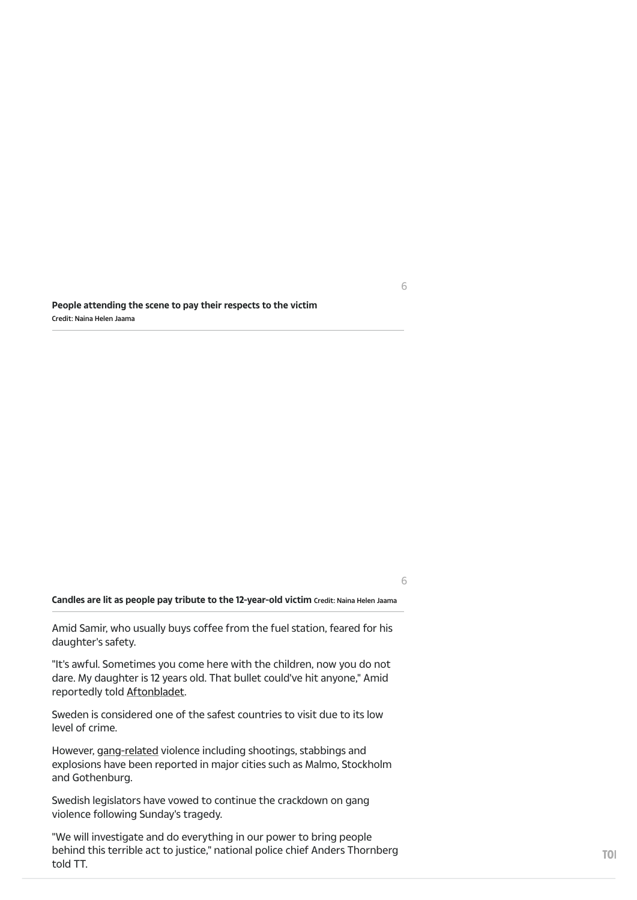**People attending the scene to pay their respects to the victim**  Credit: Naina Helen Jaama

**Candles are lit as people pay tribute to the 12-year-old victim** Credit: Naina Helen Jaama

Amid Samir, who usually buys coffee from the fuel station, feared for his daughter's safety.

"It's awful. Sometimes you come here with the children, now you do not dare. My daughter is 12 years old. That bullet could've hit anyone," Amid reportedly told [Aftonbladet.](https://www.aftonbladet.se/nyheter/a/8mr1jx/12-arig-flicka-skjuten-till-dods-av-misstag)

Sweden is considered one of the safest countries to visit due to its low level of crime.

However, [gang-related](https://www.gov.uk/foreign-travel-advice/sweden/safety-and-security) violence including shootings, stabbings and explosions have been reported in major cities such as Malmo, Stockholm and Gothenburg.

Swedish legislators have vowed to continue the crackdown on gang violence following Sunday's tragedy.

"We will investigate and do everything in our power to bring people behind this terrible act to justice," national police chief Anders Thornberg told TT.

6

6

**TO**